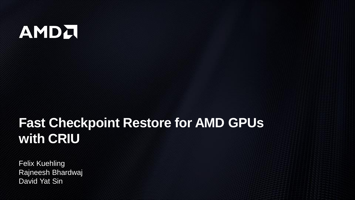## AMDA

## **Fast Checkpoint Restore for AMD GPUs with CRIU**

Felix Kuehling Rajneesh Bhardwaj David Yat Sin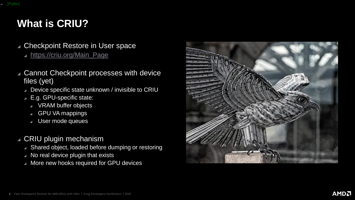## **What is CRIU?**

#### ▲ Checkpoint Restore in User space

▲ [https://criu.org/Main\\_Page](https://criu.org/Main_Page)

- ◢ Cannot Checkpoint processes with device files (yet)
	- ▲ Device specific state unknown / invisible to CRIU
	- ◢ E.g. GPU-specific state:
		- ◢ VRAM buffer objects
		- GPU VA mappings
		- ◢ User mode queues

### ◢ CRIU plugin mechanism

- ▲ Shared object, loaded before dumping or restoring
- ◢ No real device plugin that exists
- ▲ More new hooks required for GPU devices

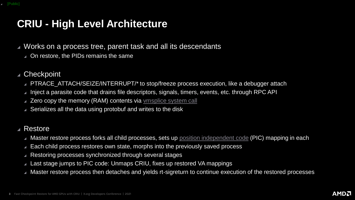## **CRIU - High Level Architecture**

▲ Works on a process tree, parent task and all its descendants

- ▲ On restore, the PIDs remains the same
- ◢ Checkpoint
	- ▲ PTRACE\_ATTACH/SEIZE/INTERRUPT/\* to stop/freeze process execution, like a debugger attach
	- Inject a parasite code that drains file descriptors, signals, timers, events, etc. through RPC API
	- ▲ Zero copy the memory (RAM) contents via vmsplice [system call](https://man7.org/linux/man-pages/man2/vmsplice.2.html)
	- ▲ Serializes all the data using protobuf and writes to the disk

#### ◢ Restore

- Master restore process forks all child processes, sets up [position independent code](https://en.wikipedia.org/wiki/Position-independent_code) (PIC) mapping in each
- Each child process restores own state, morphs into the previously saved process
- Restoring processes synchronized through several stages
- Last stage jumps to PIC code: Unmaps CRIU, fixes up restored VA mappings
- Master restore process then detaches and yields rt-sigreturn to continue execution of the restored processes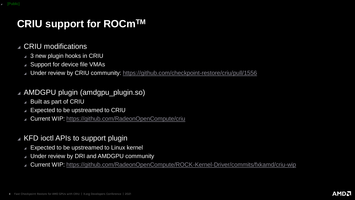## **CRIU support for ROCmTM**

#### ◢ CRIU modifications

- ▲ 3 new plugin hooks in CRIU
- ▲ Support for device file VMAs
- ◢ Under review by CRIU community:<https://github.com/checkpoint-restore/criu/pull/1556>

#### ◢ AMDGPU plugin (amdgpu\_plugin.so)

- ◢ Built as part of CRIU
- ◢ Expected to be upstreamed to CRIU
- ◢ Current WIP:<https://github.com/RadeonOpenCompute/criu>

#### ◢ KFD ioctl APIs to support plugin

- ◢ Expected to be upstreamed to Linux kernel
- ◢ Under review by DRI and AMDGPU community
- ◢ Current WIP:<https://github.com/RadeonOpenCompute/ROCK-Kernel-Driver/commits/fxkamd/criu-wip>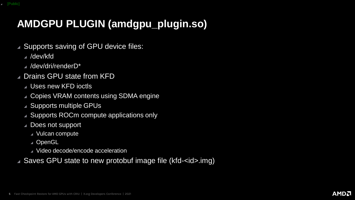## **AMDGPU PLUGIN (amdgpu\_plugin.so)**

- ▲ Supports saving of GPU device files:
	- ◢ /dev/kfd
	- ◢ /dev/dri/renderD\*
- ▲ Drains GPU state from KFD
	- ◢ Uses new KFD ioctls
	- ▲ Copies VRAM contents using SDMA engine
	- ▲ Supports multiple GPUs
	- ◢ Supports ROCm compute applications only
	- ◢ Does not support
		- ◢ Vulcan compute
		- ◢ OpenGL
		- ◢ Video decode/encode acceleration
- ▲ Saves GPU state to new protobuf image file (kfd-<id>.img)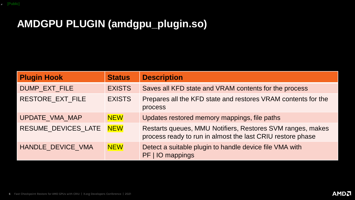## **AMDGPU PLUGIN (amdgpu\_plugin.so)**

| <b>Plugin Hook</b>  | <b>Status</b> | <b>Description</b>                                                                                                       |
|---------------------|---------------|--------------------------------------------------------------------------------------------------------------------------|
| DUMP_EXT_FILE       | <b>EXISTS</b> | Saves all KFD state and VRAM contents for the process                                                                    |
| RESTORE_EXT_FILE    | <b>EXISTS</b> | Prepares all the KFD state and restores VRAM contents for the<br>process                                                 |
| UPDATE_VMA_MAP      | <b>NEW</b>    | Updates restored memory mappings, file paths                                                                             |
| RESUME_DEVICES_LATE | <b>NEW</b>    | Restarts queues, MMU Notifiers, Restores SVM ranges, makes<br>process ready to run in almost the last CRIU restore phase |
| HANDLE_DEVICE_VMA   | <b>NEW</b>    | Detect a suitable plugin to handle device file VMA with<br>PF   IO mappings                                              |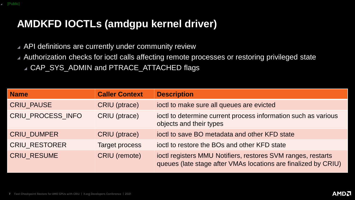## **AMDKFD IOCTLs (amdgpu kernel driver)**

- ▲ API definitions are currently under community review
- ▲ Authorization checks for ioctl calls affecting remote processes or restoring privileged state ▲ CAP\_SYS\_ADMIN and PTRACE\_ATTACHED flags

| <b>Name</b>          | <b>Caller Context</b> | <b>Description</b>                                                                                                             |
|----------------------|-----------------------|--------------------------------------------------------------------------------------------------------------------------------|
| <b>CRIU_PAUSE</b>    | <b>CRIU</b> (ptrace)  | joctl to make sure all queues are evicted                                                                                      |
| CRIU PROCESS INFO    | CRIU (ptrace)         | joctl to determine current process information such as various<br>objects and their types                                      |
| <b>CRIU_DUMPER</b>   | <b>CRIU</b> (ptrace)  | joctl to save BO metadata and other KFD state                                                                                  |
| <b>CRIU_RESTORER</b> | <b>Target process</b> | joctl to restore the BOs and other KFD state                                                                                   |
| <b>CRIU_RESUME</b>   | <b>CRIU</b> (remote)  | ioctl registers MMU Notifiers, restores SVM ranges, restarts<br>queues (late stage after VMAs locations are finalized by CRIU) |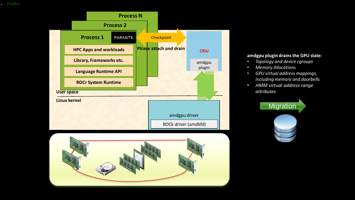◢ [Public]





#### **amdgpu plugin drains the GPU state:**

- *Topology and device cgroups*
- *Memory Allocations*
- *GPU virtual address mappings, including memory and doorbells*
- *HMM virtual address range attributes*

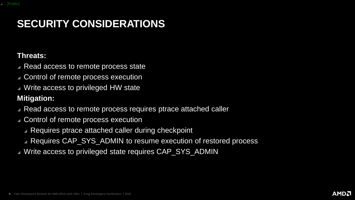## **SECURITY CONSIDERATIONS**

#### **Threats:**

- ◢ Read access to remote process state
- ◢ Control of remote process execution
- ◢ Write access to privileged HW state

#### **Mitigation:**

- ◢ Read access to remote process requires ptrace attached caller
- ◢ Control of remote process execution
	- ▲ Requires ptrace attached caller during checkpoint
	- ◢ Requires CAP\_SYS\_ADMIN to resume execution of restored process
- ▲ Write access to privileged state requires CAP\_SYS\_ADMIN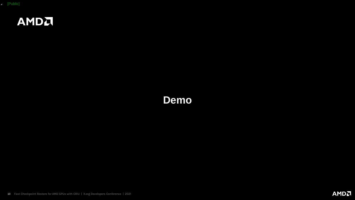

## **Demo**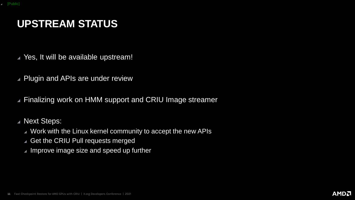## **UPSTREAM STATUS**

- ◢ Yes, It will be available upstream!
- ◢ Plugin and APIs are under review
- ▲ Finalizing work on HMM support and CRIU Image streamer

◢ Next Steps:

- ◢ Work with the Linux kernel community to accept the new APIs
- ▲ Get the CRIU Pull requests merged
- ◢ Improve image size and speed up further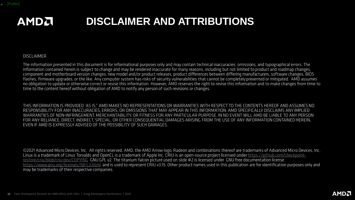#### **DISCLAIMER AND ATTRIBUTIONSAMDA**

#### **DISCLAIMER**

The information presented in this document is for informational purposes only and may contain technical inaccuracies, omissions, and typographical errors. The information contained herein is subject to change and may be rendered inaccurate for many reasons, including but not limited to product and roadmap changes, component and motherboard version changes, new model and/or product releases, product differences between differing manufacturers, software changes, BIOS flashes, firmware upgrades, or the like. Any computer system has risks of security vulnerabilities that cannot be completely prevented or mitigated. AMD assumes<br>In obligation to update or otherwise correct or revise this time to the content hereof without obligation of AMD to notify any person of such revisions or changes.

THIS INFORMATION IS PROVIDED 'AS IS." AMD MAKES NO REPRESENTATIONS OR WARRANTIES WITH RESPECT TO THE CONTENTS HEREOF AND ASSUMES NO RESPONSIBILITY FOR ANY INACCURACIES, ERRORS, OR OMISSIONS THAT MAY APPEAR IN THIS INFORMATION. AMD SPECIFICALLY DISCLAIMS ANY IMPLIED WARRANTIES OF NON-INFRINGEMENT, MERCHANTABILITY, OR FITNESS FOR ANY PARTICULAR PURPOSE. IN NO EVENT WILL AMD BE LIABLE TO ANY PERSON FOR ANY RELIANCE, DIRECT, INDIRECT, SPECIAL, OR OTHER CONSEQUENTIAL DAMAGES ARISING FROM THE USE OF ANY INFORMATION CONTAINED HEREIN, EVEN IF AMD IS EXPRESSLY ADVISED OF THE POSSIBILITY OF SUCH DAMAGES.

©2021 Advanced Micro Devices, Inc. All rights reserved. AMD, the AMD Arrow logo, Radeon and combinations thereof are trademarks of Advanced Micro Devices, Inc. Linux is a trademark of Linus Torvalds and OpenCL is a trademark of Apple Inc. CRIU is an open-source project licensed under https://github.com/checkpointrestore/criu/blob/criu-dev/COPYING GNU GPL v2. The titanium falcon picture used on slide #2 is licensed under GNU free documentation license https://www.gnu.org/licenses/fdl-1.3.html and is used to represent CRIU v3.15. Other product names used in this publication are for identification purposes only and may be trademarks of their respective companies.